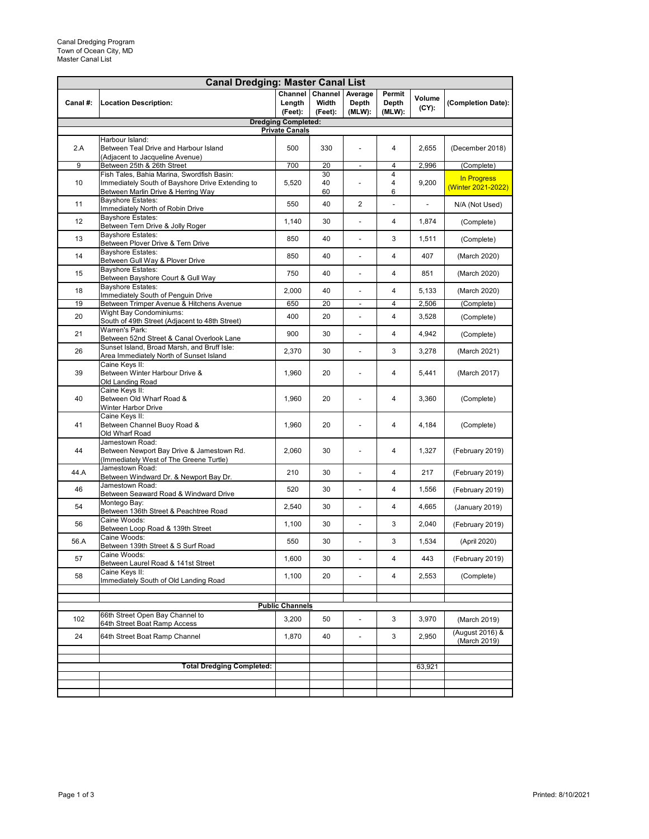| <b>Canal Dredging: Master Canal List</b>            |                                                                                                                                      |                   |                                     |                            |                           |                    |                                   |  |  |
|-----------------------------------------------------|--------------------------------------------------------------------------------------------------------------------------------------|-------------------|-------------------------------------|----------------------------|---------------------------|--------------------|-----------------------------------|--|--|
| Canal #:                                            | <b>Location Description:</b>                                                                                                         | Length<br>(Feet): | Channel Channel<br>Width<br>(Feet): | Average<br>Depth<br>(MLW): | Permit<br>Depth<br>(MLW): | Volume<br>$(CY)$ : | (Completion Date):                |  |  |
| <b>Dredging Completed:</b><br><b>Private Canals</b> |                                                                                                                                      |                   |                                     |                            |                           |                    |                                   |  |  |
| 2.A                                                 | Harbour Island:<br>Between Teal Drive and Harbour Island<br>(Adjacent to Jacqueline Avenue)                                          | 500               | 330                                 |                            | 4                         | 2,655              | (December 2018)                   |  |  |
| 9                                                   | Between 25th & 26th Street                                                                                                           | 700               | 20                                  | $\overline{\phantom{0}}$   | 4                         | 2,996              | (Complete)                        |  |  |
| 10                                                  | Fish Tales, Bahia Marina, Swordfish Basin:<br>Immediately South of Bayshore Drive Extending to<br>Between Marlin Drive & Herring Way | 5,520             | 30<br>40<br>60                      |                            | $\overline{4}$<br>4<br>6  | 9,200              | In Progress<br>(Winter 2021-2022) |  |  |
| 11                                                  | <b>Bayshore Estates:</b><br>Immediately North of Robin Drive                                                                         | 550               | 40                                  | $\overline{2}$             | $\blacksquare$            | $\blacksquare$     | N/A (Not Used)                    |  |  |
| 12                                                  | <b>Bayshore Estates:</b><br>Between Tern Drive & Jolly Roger                                                                         | 1,140             | 30                                  |                            | 4                         | 1,874              | (Complete)                        |  |  |
| 13                                                  | <b>Bayshore Estates:</b><br>Between Plover Drive & Tern Drive                                                                        | 850               | 40                                  |                            | 3                         | 1,511              | (Complete)                        |  |  |
| 14                                                  | <b>Bayshore Estates:</b><br>Between Gull Way & Plover Drive                                                                          | 850               | 40                                  | $\overline{a}$             | 4                         | 407                | (March 2020)                      |  |  |
| 15                                                  | <b>Bayshore Estates:</b><br>Between Bayshore Court & Gull Way                                                                        | 750               | 40                                  |                            | 4                         | 851                | (March 2020)                      |  |  |
| 18                                                  | <b>Bayshore Estates:</b><br>Immediately South of Penguin Drive                                                                       | 2,000             | 40                                  |                            | 4                         | 5,133              | (March 2020)                      |  |  |
| 19                                                  | Between Trimper Avenue & Hitchens Avenue                                                                                             | 650               | 20                                  | $\overline{a}$             | 4                         | 2,506              | (Complete)                        |  |  |
| 20                                                  | <b>Wight Bay Condominiums:</b><br>South of 49th Street (Adjacent to 48th Street)<br>Warren's Park:                                   | 400               | 20                                  | $\overline{a}$             | 4                         | 3,528              | (Complete)                        |  |  |
| 21                                                  | Between 52nd Street & Canal Overlook Lane                                                                                            | 900               | 30                                  |                            | 4                         | 4,942              | (Complete)                        |  |  |
| 26                                                  | Sunset Island, Broad Marsh, and Bruff Isle:<br>Area Immediately North of Sunset Island                                               | 2,370             | 30                                  | $\overline{\phantom{a}}$   | 3                         | 3,278              | (March 2021)                      |  |  |
| 39                                                  | Caine Keys II:<br>Between Winter Harbour Drive &<br>Old Landing Road                                                                 | 1,960             | 20                                  | $\overline{a}$             | 4                         | 5,441              | (March 2017)                      |  |  |
| 40                                                  | Caine Keys II:<br>Between Old Wharf Road &<br><b>Winter Harbor Drive</b>                                                             | 1,960             | 20                                  |                            | 4                         | 3,360              | (Complete)                        |  |  |
| 41                                                  | Caine Keys II:<br>Between Channel Buoy Road &<br>Old Wharf Road                                                                      | 1,960             | 20                                  | $\overline{a}$             | 4                         | 4,184              | (Complete)                        |  |  |
| 44                                                  | Jamestown Road:<br>Between Newport Bay Drive & Jamestown Rd.<br>(Immediately West of The Greene Turtle)                              | 2,060             | 30                                  | $\overline{a}$             | 4                         | 1,327              | (February 2019)                   |  |  |
| 44.A                                                | Jamestown Road:<br>Between Windward Dr. & Newport Bay Dr.                                                                            | 210               | 30                                  | $\overline{a}$             | 4                         | 217                | (February 2019)                   |  |  |
| 46                                                  | Jamestown Road:<br>Between Seaward Road & Windward Drive                                                                             | 520               | 30                                  | $\overline{a}$             | 4                         | 1,556              | (February 2019)                   |  |  |
| 54                                                  | Montego Bay:<br>Between 136th Street & Peachtree Road                                                                                | 2,540             | 30                                  |                            | 4                         | 4,665              | (January 2019)                    |  |  |
| 56                                                  | Caine Woods:<br>Between Loop Road & 139th Street                                                                                     | 1,100             | 30                                  | $\overline{a}$             | 3                         | 2,040              | (February 2019)                   |  |  |
| 56.A                                                | Caine Woods:<br>Between 139th Street & S Surf Road                                                                                   | 550               | 30                                  | $\overline{a}$             | 3                         | 1,534              | (April 2020)                      |  |  |
| 57                                                  | Caine Woods:<br>Between Laurel Road & 141st Street                                                                                   | 1,600             | 30                                  |                            | 4                         | 443                | (February 2019)                   |  |  |
| 58                                                  | Caine Keys II:<br>Immediately South of Old Landing Road                                                                              | 1,100             | 20                                  | $\overline{a}$             | 4                         | 2,553              | (Complete)                        |  |  |
|                                                     |                                                                                                                                      |                   |                                     |                            |                           |                    |                                   |  |  |
| <b>Public Channels</b>                              |                                                                                                                                      |                   |                                     |                            |                           |                    |                                   |  |  |
| 102                                                 | 66th Street Open Bay Channel to<br>64th Street Boat Ramp Access                                                                      | 3,200             | 50                                  | $\overline{a}$             | 3                         | 3,970              | (March 2019)                      |  |  |
| 24                                                  | 64th Street Boat Ramp Channel                                                                                                        | 1,870             | 40                                  |                            | 3                         | 2,950              | (August 2016) &<br>(March 2019)   |  |  |
|                                                     |                                                                                                                                      |                   |                                     |                            |                           |                    |                                   |  |  |
|                                                     | <b>Total Dredging Completed:</b>                                                                                                     |                   |                                     |                            |                           | 63,921             |                                   |  |  |
|                                                     |                                                                                                                                      |                   |                                     |                            |                           |                    |                                   |  |  |
|                                                     |                                                                                                                                      |                   |                                     |                            |                           |                    |                                   |  |  |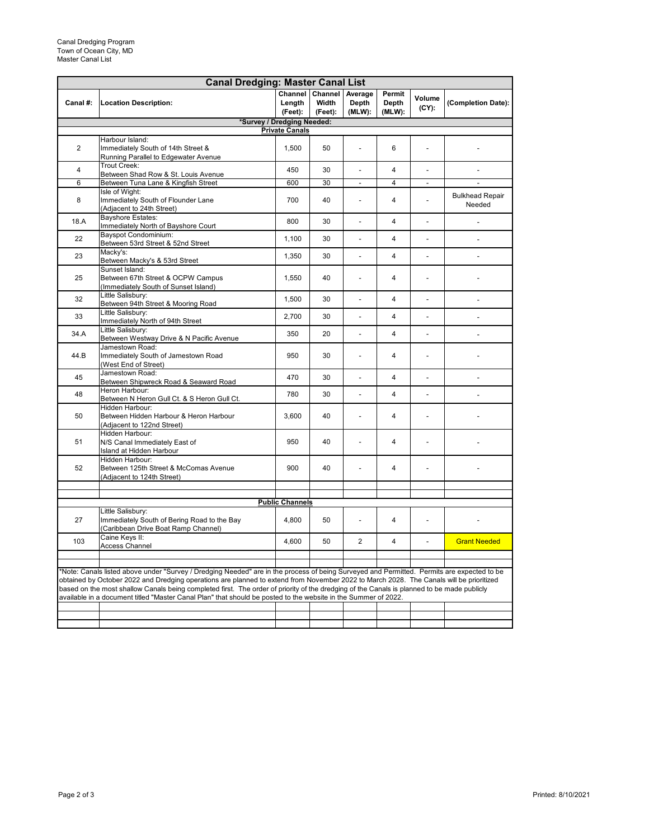| <b>Canal Dredging: Master Canal List</b>                                                                                                                                                                                                                                                                                                                                                                                                                                                                                                              |                                                                                                         |                                                            |                             |                            |                           |                          |                                  |  |  |
|-------------------------------------------------------------------------------------------------------------------------------------------------------------------------------------------------------------------------------------------------------------------------------------------------------------------------------------------------------------------------------------------------------------------------------------------------------------------------------------------------------------------------------------------------------|---------------------------------------------------------------------------------------------------------|------------------------------------------------------------|-----------------------------|----------------------------|---------------------------|--------------------------|----------------------------------|--|--|
| Canal #:                                                                                                                                                                                                                                                                                                                                                                                                                                                                                                                                              | <b>Location Description:</b>                                                                            | Channel<br>Length<br>(Feet):<br>*Survey / Dredging Needed: | Channel<br>Width<br>(Feet): | Average<br>Depth<br>(MLW): | Permit<br>Depth<br>(MLW): | Volume<br>$(CY)$ :       | (Completion Date):               |  |  |
|                                                                                                                                                                                                                                                                                                                                                                                                                                                                                                                                                       |                                                                                                         | <b>Private Canals</b>                                      |                             |                            |                           |                          |                                  |  |  |
|                                                                                                                                                                                                                                                                                                                                                                                                                                                                                                                                                       | Harbour Island:                                                                                         |                                                            |                             |                            |                           |                          |                                  |  |  |
| $\overline{2}$                                                                                                                                                                                                                                                                                                                                                                                                                                                                                                                                        | Immediately South of 14th Street &<br>Running Parallel to Edgewater Avenue                              | 1.500                                                      | 50                          |                            | 6                         |                          |                                  |  |  |
| $\overline{4}$                                                                                                                                                                                                                                                                                                                                                                                                                                                                                                                                        | Trout Creek:<br>Between Shad Row & St. Louis Avenue                                                     | 450                                                        | 30                          |                            | $\overline{4}$            |                          |                                  |  |  |
| 6                                                                                                                                                                                                                                                                                                                                                                                                                                                                                                                                                     | Between Tuna Lane & Kingfish Street                                                                     | 600                                                        | 30                          | $\overline{a}$             | $\overline{4}$            | $\frac{1}{2}$            | $\overline{a}$                   |  |  |
| 8                                                                                                                                                                                                                                                                                                                                                                                                                                                                                                                                                     | Isle of Wight:<br>Immediately South of Flounder Lane<br>(Adjacent to 24th Street)                       | 700                                                        | 40                          |                            | $\overline{4}$            |                          | <b>Bulkhead Repair</b><br>Needed |  |  |
| 18.A                                                                                                                                                                                                                                                                                                                                                                                                                                                                                                                                                  | <b>Bayshore Estates:</b><br>Immediately North of Bayshore Court                                         | 800                                                        | 30                          |                            | 4                         |                          |                                  |  |  |
| 22                                                                                                                                                                                                                                                                                                                                                                                                                                                                                                                                                    | Bayspot Condominium:<br>Between 53rd Street & 52nd Street                                               | 1,100                                                      | 30                          | $\overline{a}$             | $\overline{4}$            | $\frac{1}{2}$            | $\overline{a}$                   |  |  |
| 23                                                                                                                                                                                                                                                                                                                                                                                                                                                                                                                                                    | Macky's:<br>Between Macky's & 53rd Street                                                               | 1,350                                                      | 30                          | $\overline{a}$             | $\overline{4}$            | $\frac{1}{2}$            | $\frac{1}{2}$                    |  |  |
| 25                                                                                                                                                                                                                                                                                                                                                                                                                                                                                                                                                    | Sunset Island:<br>Between 67th Street & OCPW Campus<br>(Immediately South of Sunset Island)             | 1,550                                                      | 40                          |                            | $\overline{4}$            | $\overline{a}$           |                                  |  |  |
| 32                                                                                                                                                                                                                                                                                                                                                                                                                                                                                                                                                    | Little Salisbury:<br>Between 94th Street & Mooring Road                                                 | 1,500                                                      | 30                          | $\overline{a}$             | $\overline{4}$            | $\overline{a}$           | $\frac{1}{2}$                    |  |  |
| 33                                                                                                                                                                                                                                                                                                                                                                                                                                                                                                                                                    | Little Salisbury:<br>Immediately North of 94th Street                                                   | 2,700                                                      | 30                          |                            | $\overline{\mathbf{A}}$   |                          | $\overline{a}$                   |  |  |
| 34.A                                                                                                                                                                                                                                                                                                                                                                                                                                                                                                                                                  | Little Salisbury:<br>Between Westway Drive & N Pacific Avenue                                           | 350                                                        | 20                          | $\overline{\phantom{a}}$   | $\overline{4}$            | $\overline{\phantom{a}}$ | $\overline{\phantom{a}}$         |  |  |
| 44.B                                                                                                                                                                                                                                                                                                                                                                                                                                                                                                                                                  | Jamestown Road:<br>Immediately South of Jamestown Road<br>(West End of Street)                          | 950                                                        | 30                          |                            | $\overline{4}$            | $\overline{a}$           |                                  |  |  |
| 45                                                                                                                                                                                                                                                                                                                                                                                                                                                                                                                                                    | Jamestown Road:<br>Between Shipwreck Road & Seaward Road                                                | 470                                                        | 30                          |                            | $\overline{4}$            | $\overline{\phantom{0}}$ | ÷,                               |  |  |
| 48                                                                                                                                                                                                                                                                                                                                                                                                                                                                                                                                                    | Heron Harbour:<br>Between N Heron Gull Ct. & S Heron Gull Ct.                                           | 780                                                        | 30                          | L,                         | $\overline{4}$            | $\overline{a}$           |                                  |  |  |
| 50                                                                                                                                                                                                                                                                                                                                                                                                                                                                                                                                                    | Hidden Harbour:<br>Between Hidden Harbour & Heron Harbour<br>(Adjacent to 122nd Street)                 | 3,600                                                      | 40                          | L,                         | $\overline{4}$            | L.                       |                                  |  |  |
| 51                                                                                                                                                                                                                                                                                                                                                                                                                                                                                                                                                    | Hidden Harbour:<br>N/S Canal Immediately East of<br>Island at Hidden Harbour                            | 950                                                        | 40                          | L,                         | $\overline{4}$            | L,                       |                                  |  |  |
| 52                                                                                                                                                                                                                                                                                                                                                                                                                                                                                                                                                    | Hidden Harbour:<br>Between 125th Street & McComas Avenue<br>(Adjacent to 124th Street)                  | 900                                                        | 40                          | $\overline{a}$             | $\overline{4}$            | L,                       |                                  |  |  |
|                                                                                                                                                                                                                                                                                                                                                                                                                                                                                                                                                       |                                                                                                         |                                                            |                             |                            |                           |                          |                                  |  |  |
|                                                                                                                                                                                                                                                                                                                                                                                                                                                                                                                                                       | <b>Public Channels</b>                                                                                  |                                                            |                             |                            |                           |                          |                                  |  |  |
| 27                                                                                                                                                                                                                                                                                                                                                                                                                                                                                                                                                    | Little Salisbury:<br>Immediately South of Bering Road to the Bay<br>(Caribbean Drive Boat Ramp Channel) | 4.800                                                      | 50                          |                            | 4                         |                          |                                  |  |  |
| 103                                                                                                                                                                                                                                                                                                                                                                                                                                                                                                                                                   | Caine Keys II:<br><b>Access Channel</b>                                                                 | 4,600                                                      | 50                          | $\overline{2}$             | $\overline{4}$            | L.                       | <b>Grant Needed</b>              |  |  |
|                                                                                                                                                                                                                                                                                                                                                                                                                                                                                                                                                       |                                                                                                         |                                                            |                             |                            |                           |                          |                                  |  |  |
| *Note: Canals listed above under "Survey / Dredging Needed" are in the process of being Surveyed and Permitted. Permits are expected to be<br>obtained by October 2022 and Dredging operations are planned to extend from November 2022 to March 2028. The Canals will be prioritized<br>based on the most shallow Canals being completed first. The order of priority of the dredging of the Canals is planned to be made publicly<br>available in a document titled "Master Canal Plan" that should be posted to the website in the Summer of 2022. |                                                                                                         |                                                            |                             |                            |                           |                          |                                  |  |  |
|                                                                                                                                                                                                                                                                                                                                                                                                                                                                                                                                                       |                                                                                                         |                                                            |                             |                            |                           |                          |                                  |  |  |
|                                                                                                                                                                                                                                                                                                                                                                                                                                                                                                                                                       |                                                                                                         |                                                            |                             |                            |                           |                          |                                  |  |  |